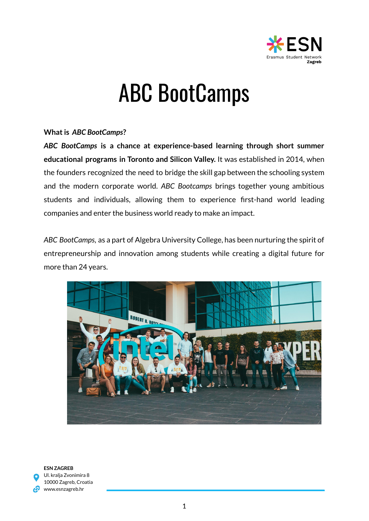

# ABC BootCamps

## **Whatis** *ABC BootCamps***?**

*ABC BootCamps* **is a chance at experience-based learning through short summer educational programs in Toronto and Silicon Valley.** It was established in 2014, when the founders recognized the need to bridge the skill gap between the schooling system and the modern corporate world. *ABC Bootcamps* brings together young ambitious students and individuals, allowing them to experience first-hand world leading companies and enter the business world ready to make an impact.

*ABC BootCamps*, as a part of Algebra University College, has been nurturing the spirit of entrepreneurship and innovation among students while creating a digital future for more than 24 years.



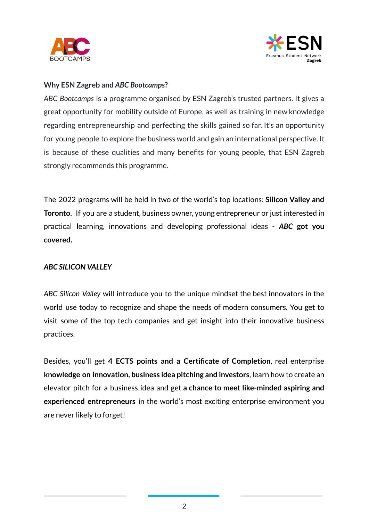



### **Why ESN Zagreb and** *ABC Bootcamps***?**

*ABC Bootcamps* is a programme organised by ESN Zagreb's trusted partners. It gives a great opportunity for mobility outside of Europe, as well as training in new knowledge regarding entrepreneurship and perfecting the skills gained so far. It's an opportunity for young people to explore the business world and gain an international perspective. It is because of these qualities and many benefits for young people, that ESN Zagreb strongly recommends this programme.

The 2022 programs will be held in two of the world's top locations: **Silicon Valley and Toronto.** If you are a student, business owner, young entrepreneur or just interested in practical learning, innovations and developing professional ideas - *ABC* **got you covered.**

#### *ABC SILICON VALLEY*

*ABC Silicon Valley* will introduce you to the unique mindset the best innovators in the world use today to recognize and shape the needs of modern consumers. You get to visit some of the top tech companies and get insight into their innovative business practices.

Besides, you'll get **4 ECTS points and a Certificate of Completion**, real enterprise **knowledge on innovation, business idea pitching and investors**, learn how to create an elevator pitch for a business idea and get **a chance to meet like-minded aspiring and experienced entrepreneurs** in the world's most exciting enterprise environment you are never likely to forget!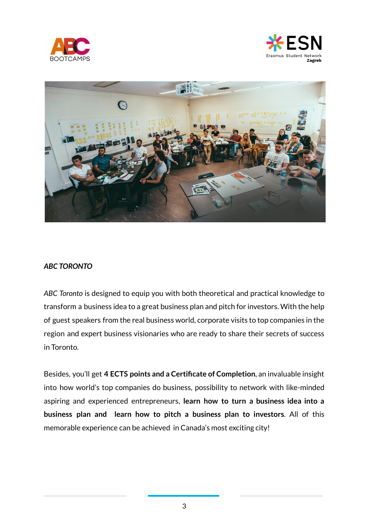





## *ABC TORONTO*

*ABC Toronto* is designed to equip you with both theoretical and practical knowledge to transform a business idea to a great business plan and pitch for investors. With the help of guest speakers from the real business world, corporate visits to top companies in the region and expert business visionaries who are ready to share their secrets of success in Toronto.

Besides, you'll get **4 ECTS points and a Certificate of Completion**, an invaluable insight into how world's top companies do business, possibility to network with like-minded aspiring and experienced entrepreneurs, **learn how to turn a business idea into a business plan and learn how to pitch a business plan to investors**. All of this memorable experience can be achieved in Canada's most exciting city!